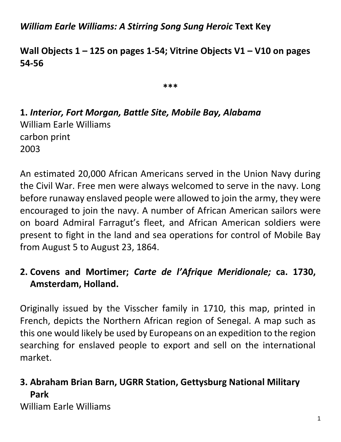*William Earle Williams: A Stirring Song Sung Heroic* **Text Key**

**Wall Objects 1 – 125 on pages 1-54; Vitrine Objects V1 – V10 on pages 54-56**

**\*\*\***

**1.** *Interior, Fort Morgan, Battle Site, Mobile Bay, Alabama* William Earle Williams carbon print 2003

An estimated 20,000 African Americans served in the Union Navy during the Civil War. Free men were always welcomed to serve in the navy. Long before runaway enslaved people were allowed to join the army, they were encouraged to join the navy. A number of African American sailors were on board Admiral Farragut's fleet, and African American soldiers were present to fight in the land and sea operations for control of Mobile Bay from August 5 to August 23, 1864.

### **2. Covens and Mortimer;** *Carte de l'Afrique Meridionale;* **ca. 1730, Amsterdam, Holland.**

Originally issued by the Visscher family in 1710, this map, printed in French, depicts the Northern African region of Senegal. A map such as this one would likely be used by Europeans on an expedition to the region searching for enslaved people to export and sell on the international market.

## **3. Abraham Brian Barn, UGRR Station, Gettysburg National Military Park**

William Earle Williams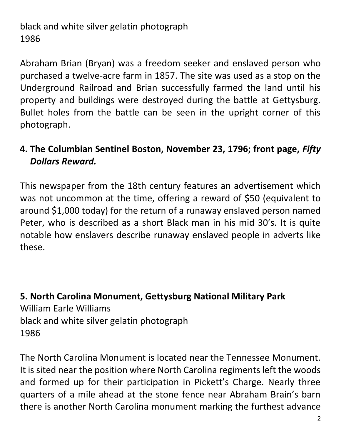black and white silver gelatin photograph 1986

Abraham Brian (Bryan) was a freedom seeker and enslaved person who purchased a twelve-acre farm in 1857. The site was used as a stop on the Underground Railroad and Brian successfully farmed the land until his property and buildings were destroyed during the battle at Gettysburg. Bullet holes from the battle can be seen in the upright corner of this photograph.

## **4. The Columbian Sentinel Boston, November 23, 1796; front page,** *Fifty Dollars Reward.*

This newspaper from the 18th century features an advertisement which was not uncommon at the time, offering a reward of \$50 (equivalent to around \$1,000 today) for the return of a runaway enslaved person named Peter, who is described as a short Black man in his mid 30's. It is quite notable how enslavers describe runaway enslaved people in adverts like these.

**5. North Carolina Monument, Gettysburg National Military Park** William Earle Williams black and white silver gelatin photograph 1986

The North Carolina Monument is located near the Tennessee Monument. It is sited near the position where North Carolina regiments left the woods and formed up for their participation in Pickett's Charge. Nearly three quarters of a mile ahead at the stone fence near Abraham Brain's barn there is another North Carolina monument marking the furthest advance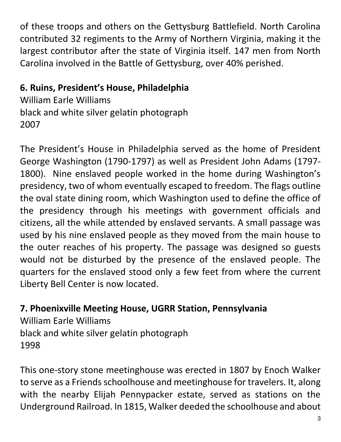of these troops and others on the Gettysburg Battlefield. North Carolina contributed 32 regiments to the Army of Northern Virginia, making it the largest contributor after the state of Virginia itself. 147 men from North Carolina involved in the Battle of Gettysburg, over 40% perished.

# **6. Ruins, President's House, Philadelphia**

William Earle Williams black and white silver gelatin photograph 2007

The President's House in Philadelphia served as the home of President George Washington (1790-1797) as well as President John Adams (1797- 1800). Nine enslaved people worked in the home during Washington's presidency, two of whom eventually escaped to freedom. The flags outline the oval state dining room, which Washington used to define the office of the presidency through his meetings with government officials and citizens, all the while attended by enslaved servants. A small passage was used by his nine enslaved people as they moved from the main house to the outer reaches of his property. The passage was designed so guests would not be disturbed by the presence of the enslaved people. The quarters for the enslaved stood only a few feet from where the current Liberty Bell Center is now located.

# **7. Phoenixville Meeting House, UGRR Station, Pennsylvania**

William Earle Williams black and white silver gelatin photograph 1998

This one-story stone meetinghouse was erected in 1807 by Enoch Walker to serve as a Friends schoolhouse and meetinghouse for travelers. It, along with the nearby Elijah Pennypacker estate, served as stations on the Underground Railroad. In 1815, Walker deeded the schoolhouse and about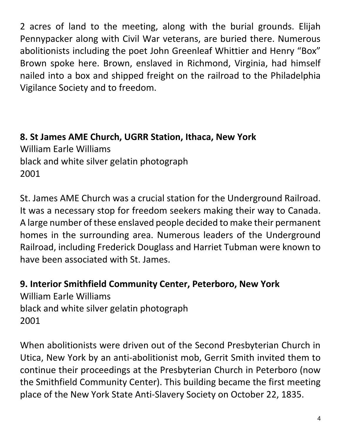2 acres of land to the meeting, along with the burial grounds. Elijah Pennypacker along with Civil War veterans, are buried there. Numerous abolitionists including the poet John Greenleaf Whittier and Henry "Box" Brown spoke here. Brown, enslaved in Richmond, Virginia, had himself nailed into a box and shipped freight on the railroad to the Philadelphia Vigilance Society and to freedom.

**8. St James AME Church, UGRR Station, Ithaca, New York** William Earle Williams black and white silver gelatin photograph 2001

St. James AME Church was a crucial station for the Underground Railroad. It was a necessary stop for freedom seekers making their way to Canada. A large number of these enslaved people decided to make their permanent homes in the surrounding area. Numerous leaders of the Underground Railroad, including Frederick Douglass and Harriet Tubman were known to have been associated with St. James.

#### **9. Interior Smithfield Community Center, Peterboro, New York**

William Earle Williams black and white silver gelatin photograph 2001

When abolitionists were driven out of the Second Presbyterian Church in Utica, New York by an anti-abolitionist mob, Gerrit Smith invited them to continue their proceedings at the Presbyterian Church in Peterboro (now the Smithfield Community Center). This building became the first meeting place of the New York State Anti-Slavery Society on October 22, 1835.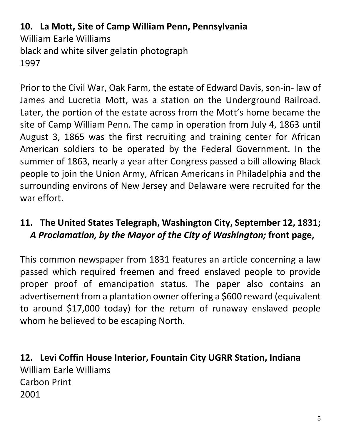# **10. La Mott, Site of Camp William Penn, Pennsylvania** William Earle Williams black and white silver gelatin photograph 1997

Prior to the Civil War, Oak Farm, the estate of Edward Davis, son-in- law of James and Lucretia Mott, was a station on the Underground Railroad. Later, the portion of the estate across from the Mott's home became the site of Camp William Penn. The camp in operation from July 4, 1863 until August 3, 1865 was the first recruiting and training center for African American soldiers to be operated by the Federal Government. In the summer of 1863, nearly a year after Congress passed a bill allowing Black people to join the Union Army, African Americans in Philadelphia and the surrounding environs of New Jersey and Delaware were recruited for the war effort.

## **11. The United States Telegraph, Washington City, September 12, 1831;**  *A Proclamation, by the Mayor of the City of Washington;* **front page,**

This common newspaper from 1831 features an article concerning a law passed which required freemen and freed enslaved people to provide proper proof of emancipation status. The paper also contains an advertisement from a plantation owner offering a \$600 reward (equivalent to around \$17,000 today) for the return of runaway enslaved people whom he believed to be escaping North.

**12. Levi Coffin House Interior, Fountain City UGRR Station, Indiana** William Earle Williams Carbon Print 2001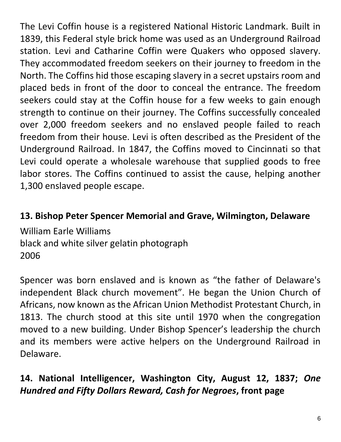The Levi Coffin house is a registered National Historic Landmark. Built in 1839, this Federal style brick home was used as an Underground Railroad station. Levi and Catharine Coffin were Quakers who opposed slavery. They accommodated freedom seekers on their journey to freedom in the North. The Coffins hid those escaping slavery in a secret upstairs room and placed beds in front of the door to conceal the entrance. The freedom seekers could stay at the Coffin house for a few weeks to gain enough strength to continue on their journey. The Coffins successfully concealed over 2,000 freedom seekers and no enslaved people failed to reach freedom from their house. Levi is often described as the President of the Underground Railroad. In 1847, the Coffins moved to Cincinnati so that Levi could operate a wholesale warehouse that supplied goods to free labor stores. The Coffins continued to assist the cause, helping another 1,300 enslaved people escape.

## **13. Bishop Peter Spencer Memorial and Grave, Wilmington, Delaware**

William Earle Williams black and white silver gelatin photograph 2006

Spencer was born enslaved and is known as "the father of Delaware's independent Black church movement". He began the Union Church of Africans, now known as the African Union Methodist Protestant Church, in 1813. The church stood at this site until 1970 when the congregation moved to a new building. Under Bishop Spencer's leadership the church and its members were active helpers on the Underground Railroad in Delaware.

# **14. National Intelligencer, Washington City, August 12, 1837;** *One Hundred and Fifty Dollars Reward, Cash for Negroes***, front page**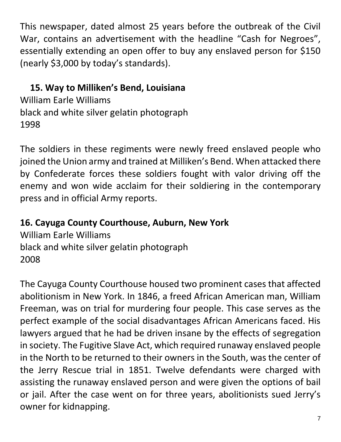This newspaper, dated almost 25 years before the outbreak of the Civil War, contains an advertisement with the headline "Cash for Negroes", essentially extending an open offer to buy any enslaved person for \$150 (nearly \$3,000 by today's standards).

# **15. Way to Milliken's Bend, Louisiana**

William Earle Williams black and white silver gelatin photograph 1998

The soldiers in these regiments were newly freed enslaved people who joined the Union army and trained at Milliken's Bend. When attacked there by Confederate forces these soldiers fought with valor driving off the enemy and won wide acclaim for their soldiering in the contemporary press and in official Army reports.

## **16. Cayuga County Courthouse, Auburn, New York**

William Earle Williams black and white silver gelatin photograph 2008

The Cayuga County Courthouse housed two prominent cases that affected abolitionism in New York. In 1846, a freed African American man, William Freeman, was on trial for murdering four people. This case serves as the perfect example of the social disadvantages African Americans faced. His lawyers argued that he had be driven insane by the effects of segregation in society. The Fugitive Slave Act, which required runaway enslaved people in the North to be returned to their owners in the South, was the center of the Jerry Rescue trial in 1851. Twelve defendants were charged with assisting the runaway enslaved person and were given the options of bail or jail. After the case went on for three years, abolitionists sued Jerry's owner for kidnapping.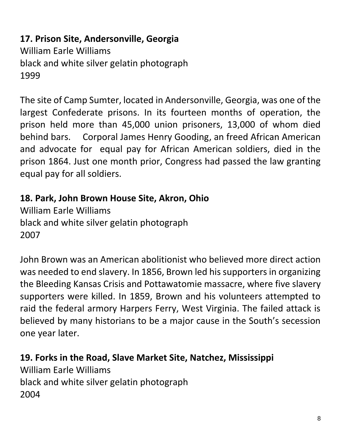**17. Prison Site, Andersonville, Georgia** William Earle Williams black and white silver gelatin photograph 1999

The site of Camp Sumter, located in Andersonville, Georgia, was one of the largest Confederate prisons. In its fourteen months of operation, the prison held more than 45,000 union prisoners, 13,000 of whom died behind bars. Corporal James Henry Gooding, an freed African American and advocate for equal pay for African American soldiers, died in the prison 1864. Just one month prior, Congress had passed the law granting equal pay for all soldiers.

### **18. Park, John Brown House Site, Akron, Ohio**

William Earle Williams black and white silver gelatin photograph 2007

John Brown was an American abolitionist who believed more direct action was needed to end slavery. In 1856, Brown led his supporters in organizing the Bleeding Kansas Crisis and Pottawatomie massacre, where five slavery supporters were killed. In 1859, Brown and his volunteers attempted to raid the federal armory Harpers Ferry, West Virginia. The failed attack is believed by many historians to be a major cause in the South's secession one year later.

**19. Forks in the Road, Slave Market Site, Natchez, Mississippi** William Earle Williams black and white silver gelatin photograph 2004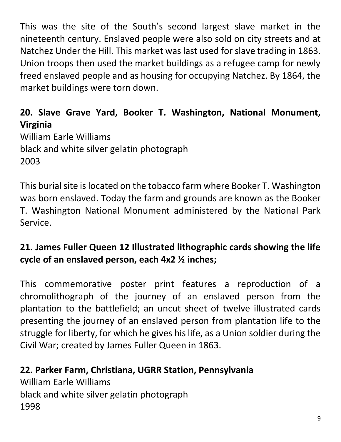This was the site of the South's second largest slave market in the nineteenth century. Enslaved people were also sold on city streets and at Natchez Under the Hill. This market was last used for slave trading in 1863. Union troops then used the market buildings as a refugee camp for newly freed enslaved people and as housing for occupying Natchez. By 1864, the market buildings were torn down.

# **20. Slave Grave Yard, Booker T. Washington, National Monument, Virginia**

William Earle Williams black and white silver gelatin photograph 2003

This burial site is located on the tobacco farm where Booker T. Washington was born enslaved. Today the farm and grounds are known as the Booker T. Washington National Monument administered by the National Park Service.

# **21. James Fuller Queen 12 Illustrated lithographic cards showing the life cycle of an enslaved person, each 4x2 ½ inches;**

This commemorative poster print features a reproduction of a chromolithograph of the journey of an enslaved person from the plantation to the battlefield; an uncut sheet of twelve illustrated cards presenting the journey of an enslaved person from plantation life to the struggle for liberty, for which he gives his life, as a Union soldier during the Civil War; created by James Fuller Queen in 1863.

# **22. Parker Farm, Christiana, UGRR Station, Pennsylvania**

William Earle Williams black and white silver gelatin photograph 1998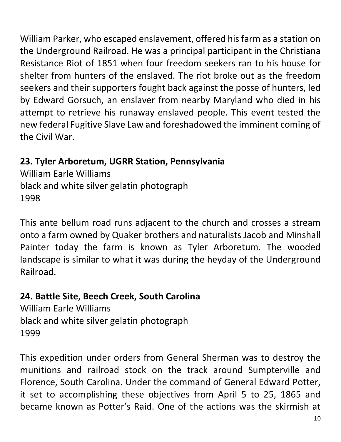William Parker, who escaped enslavement, offered his farm as a station on the Underground Railroad. He was a principal participant in the Christiana Resistance Riot of 1851 when four freedom seekers ran to his house for shelter from hunters of the enslaved. The riot broke out as the freedom seekers and their supporters fought back against the posse of hunters, led by Edward Gorsuch, an enslaver from nearby Maryland who died in his attempt to retrieve his runaway enslaved people. This event tested the new federal Fugitive Slave Law and foreshadowed the imminent coming of the Civil War.

# **23. Tyler Arboretum, UGRR Station, Pennsylvania**

William Earle Williams black and white silver gelatin photograph 1998

This ante bellum road runs adjacent to the church and crosses a stream onto a farm owned by Quaker brothers and naturalists Jacob and Minshall Painter today the farm is known as Tyler Arboretum. The wooded landscape is similar to what it was during the heyday of the Underground Railroad.

## **24. Battle Site, Beech Creek, South Carolina**

William Earle Williams black and white silver gelatin photograph 1999

This expedition under orders from General Sherman was to destroy the munitions and railroad stock on the track around Sumpterville and Florence, South Carolina. Under the command of General Edward Potter, it set to accomplishing these objectives from April 5 to 25, 1865 and became known as Potter's Raid. One of the actions was the skirmish at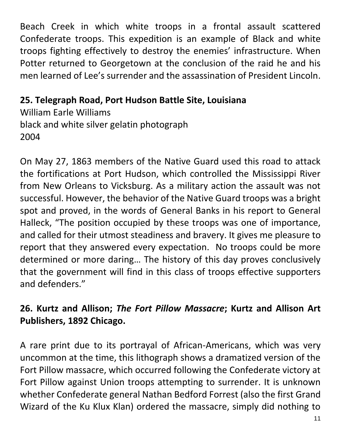Beach Creek in which white troops in a frontal assault scattered Confederate troops. This expedition is an example of Black and white troops fighting effectively to destroy the enemies' infrastructure. When Potter returned to Georgetown at the conclusion of the raid he and his men learned of Lee's surrender and the assassination of President Lincoln.

## **25. Telegraph Road, Port Hudson Battle Site, Louisiana**

William Earle Williams black and white silver gelatin photograph 2004

On May 27, 1863 members of the Native Guard used this road to attack the fortifications at Port Hudson, which controlled the Mississippi River from New Orleans to Vicksburg. As a military action the assault was not successful. However, the behavior of the Native Guard troops was a bright spot and proved, in the words of General Banks in his report to General Halleck, "The position occupied by these troops was one of importance, and called for their utmost steadiness and bravery. It gives me pleasure to report that they answered every expectation. No troops could be more determined or more daring… The history of this day proves conclusively that the government will find in this class of troops effective supporters and defenders."

# **26. Kurtz and Allison;** *The Fort Pillow Massacre***; Kurtz and Allison Art Publishers, 1892 Chicago.**

A rare print due to its portrayal of African-Americans, which was very uncommon at the time, this lithograph shows a dramatized version of the Fort Pillow massacre, which occurred following the Confederate victory at Fort Pillow against Union troops attempting to surrender. It is unknown whether Confederate general Nathan Bedford Forrest (also the first Grand Wizard of the Ku Klux Klan) ordered the massacre, simply did nothing to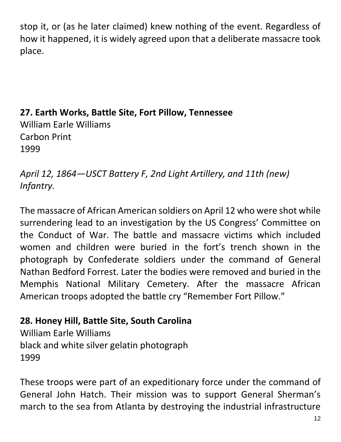stop it, or (as he later claimed) knew nothing of the event. Regardless of how it happened, it is widely agreed upon that a deliberate massacre took place.

**27. Earth Works, Battle Site, Fort Pillow, Tennessee** William Earle Williams Carbon Print 1999

*April 12, 1864—USCT Battery F, 2nd Light Artillery, and 11th (new) Infantry.* 

The massacre of African American soldiers on April 12 who were shot while surrendering lead to an investigation by the US Congress' Committee on the Conduct of War. The battle and massacre victims which included women and children were buried in the fort's trench shown in the photograph by Confederate soldiers under the command of General Nathan Bedford Forrest. Later the bodies were removed and buried in the Memphis National Military Cemetery. After the massacre African American troops adopted the battle cry "Remember Fort Pillow."

## **28. Honey Hill, Battle Site, South Carolina**

William Earle Williams black and white silver gelatin photograph 1999

These troops were part of an expeditionary force under the command of General John Hatch. Their mission was to support General Sherman's march to the sea from Atlanta by destroying the industrial infrastructure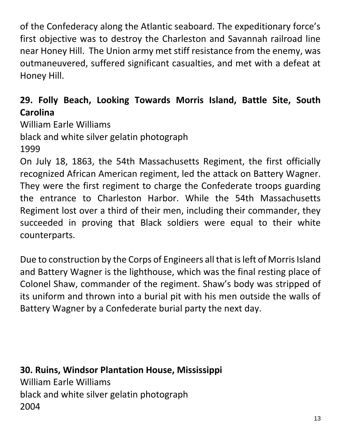of the Confederacy along the Atlantic seaboard. The expeditionary force's first objective was to destroy the Charleston and Savannah railroad line near Honey Hill. The Union army met stiff resistance from the enemy, was outmaneuvered, suffered significant casualties, and met with a defeat at Honey Hill.

# **29. Folly Beach, Looking Towards Morris Island, Battle Site, South Carolina**

William Earle Williams black and white silver gelatin photograph 1999 On July 18, 1863, the 54th Massachusetts Regiment, the first officially recognized African American regiment, led the attack on Battery Wagner. They were the first regiment to charge the Confederate troops guarding the entrance to Charleston Harbor. While the 54th Massachusetts

Regiment lost over a third of their men, including their commander, they succeeded in proving that Black soldiers were equal to their white counterparts.

Due to construction by the Corps of Engineers all that is left of Morris Island and Battery Wagner is the lighthouse, which was the final resting place of Colonel Shaw, commander of the regiment. Shaw's body was stripped of its uniform and thrown into a burial pit with his men outside the walls of Battery Wagner by a Confederate burial party the next day.

**30. Ruins, Windsor Plantation House, Mississippi**  William Earle Williams black and white silver gelatin photograph 2004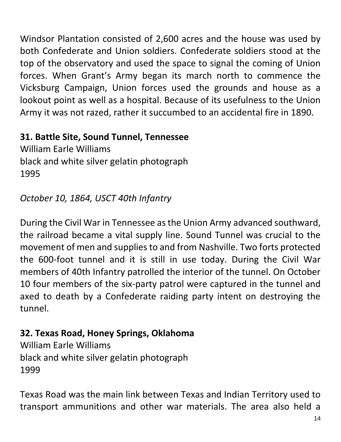Windsor Plantation consisted of 2,600 acres and the house was used by both Confederate and Union soldiers. Confederate soldiers stood at the top of the observatory and used the space to signal the coming of Union forces. When Grant's Army began its march north to commence the Vicksburg Campaign, Union forces used the grounds and house as a lookout point as well as a hospital. Because of its usefulness to the Union Army it was not razed, rather it succumbed to an accidental fire in 1890.

## **31. Battle Site, Sound Tunnel, Tennessee**

William Earle Williams black and white silver gelatin photograph 1995

### *October 10, 1864, USCT 40th Infantry*

During the Civil War in Tennessee as the Union Army advanced southward, the railroad became a vital supply line. Sound Tunnel was crucial to the movement of men and supplies to and from Nashville. Two forts protected the 600-foot tunnel and it is still in use today. During the Civil War members of 40th Infantry patrolled the interior of the tunnel. On October 10 four members of the six-party patrol were captured in the tunnel and axed to death by a Confederate raiding party intent on destroying the tunnel.

### **32. Texas Road, Honey Springs, Oklahoma**

William Earle Williams black and white silver gelatin photograph 1999

Texas Road was the main link between Texas and Indian Territory used to transport ammunitions and other war materials. The area also held a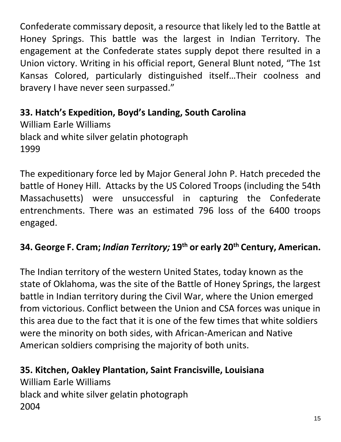Confederate commissary deposit, a resource that likely led to the Battle at Honey Springs. This battle was the largest in Indian Territory. The engagement at the Confederate states supply depot there resulted in a Union victory. Writing in his official report, General Blunt noted, "The 1st Kansas Colored, particularly distinguished itself…Their coolness and bravery I have never seen surpassed."

**33. Hatch's Expedition, Boyd's Landing, South Carolina**  William Earle Williams black and white silver gelatin photograph 1999

The expeditionary force led by Major General John P. Hatch preceded the battle of Honey Hill. Attacks by the US Colored Troops (including the 54th Massachusetts) were unsuccessful in capturing the Confederate entrenchments. There was an estimated 796 loss of the 6400 troops engaged.

## **34. George F. Cram;** *Indian Territory;* **19th or early 20th Century, American.**

The Indian territory of the western United States, today known as the state of Oklahoma, was the site of the Battle of Honey Springs, the largest battle in Indian territory during the Civil War, where the Union emerged from victorious. Conflict between the Union and CSA forces was unique in this area due to the fact that it is one of the few times that white soldiers were the minority on both sides, with African-American and Native American soldiers comprising the majority of both units.

### **35. Kitchen, Oakley Plantation, Saint Francisville, Louisiana**

William Earle Williams black and white silver gelatin photograph 2004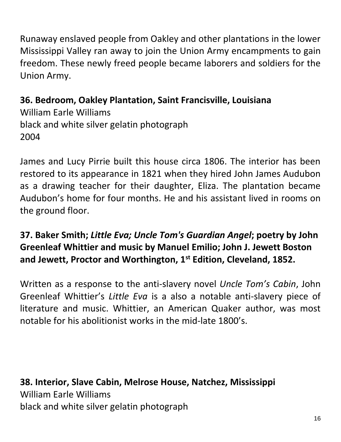Runaway enslaved people from Oakley and other plantations in the lower Mississippi Valley ran away to join the Union Army encampments to gain freedom. These newly freed people became laborers and soldiers for the Union Army.

**36. Bedroom, Oakley Plantation, Saint Francisville, Louisiana** William Earle Williams black and white silver gelatin photograph 2004

James and Lucy Pirrie built this house circa 1806. The interior has been restored to its appearance in 1821 when they hired John James Audubon as a drawing teacher for their daughter, Eliza. The plantation became Audubon's home for four months. He and his assistant lived in rooms on the ground floor.

# **37. Baker Smith;** *Little Eva; Uncle Tom's Guardian Angel***; poetry by John Greenleaf Whittier and music by Manuel Emilio; John J. Jewett Boston and Jewett, Proctor and Worthington, 1st Edition, Cleveland, 1852.**

Written as a response to the anti-slavery novel *Uncle Tom's Cabin*, John Greenleaf Whittier's *Little Eva* is a also a notable anti-slavery piece of literature and music. Whittier, an American Quaker author, was most notable for his abolitionist works in the mid-late 1800's.

**38. Interior, Slave Cabin, Melrose House, Natchez, Mississippi**  William Earle Williams black and white silver gelatin photograph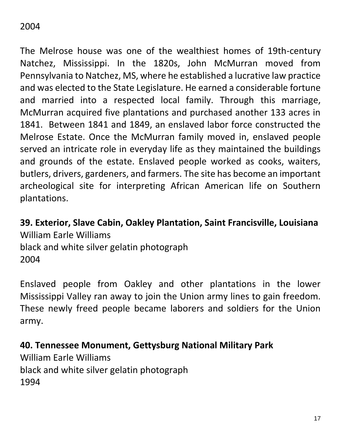### 2004

The Melrose house was one of the wealthiest homes of 19th-century Natchez, Mississippi. In the 1820s, John McMurran moved from Pennsylvania to Natchez, MS, where he established a lucrative law practice and was elected to the State Legislature. He earned a considerable fortune and married into a respected local family. Through this marriage, McMurran acquired five plantations and purchased another 133 acres in 1841. Between 1841 and 1849, an enslaved labor force constructed the Melrose Estate. Once the McMurran family moved in, enslaved people served an intricate role in everyday life as they maintained the buildings and grounds of the estate. Enslaved people worked as cooks, waiters, butlers, drivers, gardeners, and farmers. The site has become an important archeological site for interpreting African American life on Southern plantations.

**39. Exterior, Slave Cabin, Oakley Plantation, Saint Francisville, Louisiana**  William Earle Williams black and white silver gelatin photograph 2004

Enslaved people from Oakley and other plantations in the lower Mississippi Valley ran away to join the Union army lines to gain freedom. These newly freed people became laborers and soldiers for the Union army.

**40. Tennessee Monument, Gettysburg National Military Park** William Earle Williams black and white silver gelatin photograph 1994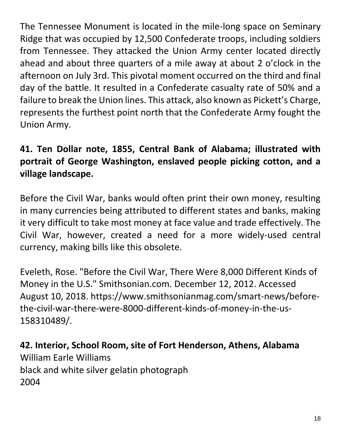The Tennessee Monument is located in the mile-long space on Seminary Ridge that was occupied by 12,500 Confederate troops, including soldiers from Tennessee. They attacked the Union Army center located directly ahead and about three quarters of a mile away at about 2 o'clock in the afternoon on July 3rd. This pivotal moment occurred on the third and final day of the battle. It resulted in a Confederate casualty rate of 50% and a failure to break the Union lines. This attack, also known as Pickett's Charge, represents the furthest point north that the Confederate Army fought the Union Army.

# **41. Ten Dollar note, 1855, Central Bank of Alabama; illustrated with portrait of George Washington, enslaved people picking cotton, and a village landscape.**

Before the Civil War, banks would often print their own money, resulting in many currencies being attributed to different states and banks, making it very difficult to take most money at face value and trade effectively. The Civil War, however, created a need for a more widely-used central currency, making bills like this obsolete.

Eveleth, Rose. "Before the Civil War, There Were 8,000 Different Kinds of Money in the U.S." Smithsonian.com. December 12, 2012. Accessed August 10, 2018. https://www.smithsonianmag.com/smart-news/beforethe-civil-war-there-were-8000-different-kinds-of-money-in-the-us-158310489/.

**42. Interior, School Room, site of Fort Henderson, Athens, Alabama** William Earle Williams black and white silver gelatin photograph 2004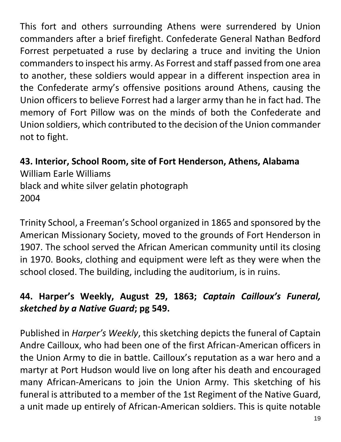This fort and others surrounding Athens were surrendered by Union commanders after a brief firefight. Confederate General Nathan Bedford Forrest perpetuated a ruse by declaring a truce and inviting the Union commanders to inspect his army. As Forrest and staff passed from one area to another, these soldiers would appear in a different inspection area in the Confederate army's offensive positions around Athens, causing the Union officers to believe Forrest had a larger army than he in fact had. The memory of Fort Pillow was on the minds of both the Confederate and Union soldiers, which contributed to the decision of the Union commander not to fight.

**43. Interior, School Room, site of Fort Henderson, Athens, Alabama** William Earle Williams black and white silver gelatin photograph 2004

Trinity School, a Freeman's School organized in 1865 and sponsored by the American Missionary Society, moved to the grounds of Fort Henderson in 1907. The school served the African American community until its closing in 1970. Books, clothing and equipment were left as they were when the school closed. The building, including the auditorium, is in ruins.

# **44. Harper's Weekly, August 29, 1863;** *Captain Cailloux's Funeral, sketched by a Native Guard***; pg 549.**

Published in *Harper's Weekly*, this sketching depicts the funeral of Captain Andre Cailloux, who had been one of the first African-American officers in the Union Army to die in battle. Cailloux's reputation as a war hero and a martyr at Port Hudson would live on long after his death and encouraged many African-Americans to join the Union Army. This sketching of his funeral is attributed to a member of the 1st Regiment of the Native Guard, a unit made up entirely of African-American soldiers. This is quite notable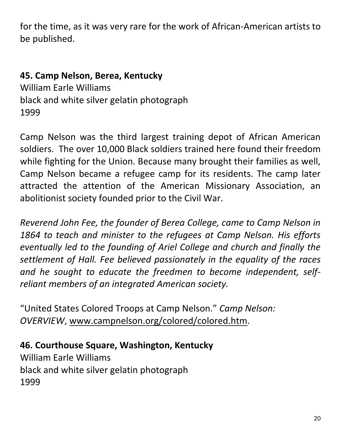for the time, as it was very rare for the work of African-American artists to be published.

### **45. Camp Nelson, Berea, Kentucky**

William Earle Williams black and white silver gelatin photograph 1999

Camp Nelson was the third largest training depot of African American soldiers. The over 10,000 Black soldiers trained here found their freedom while fighting for the Union. Because many brought their families as well, Camp Nelson became a refugee camp for its residents. The camp later attracted the attention of the American Missionary Association, an abolitionist society founded prior to the Civil War.

*Reverend John Fee, the founder of Berea College, came to Camp Nelson in 1864 to teach and minister to the refugees at Camp Nelson. His efforts eventually led to the founding of Ariel College and church and finally the settlement of Hall. Fee believed passionately in the equality of the races and he sought to educate the freedmen to become independent, selfreliant members of an integrated American society.*

"United States Colored Troops at Camp Nelson." *Camp Nelson: OVERVIEW*, [www.campnelson.org/colored/colored.htm.](http://www.campnelson.org/colored/colored.htm)

**46. Courthouse Square, Washington, Kentucky**

William Earle Williams black and white silver gelatin photograph 1999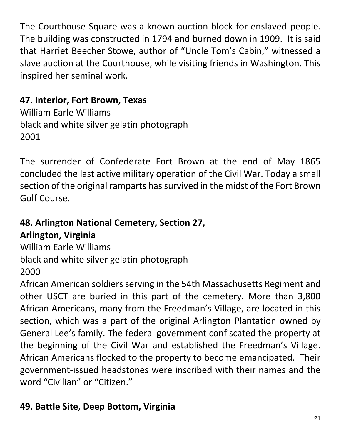The Courthouse Square was a known auction block for enslaved people. The building was constructed in 1794 and burned down in 1909. It is said that Harriet Beecher Stowe, author of "Uncle Tom's Cabin," witnessed a slave auction at the Courthouse, while visiting friends in Washington. This inspired her seminal work.

# **47. Interior, Fort Brown, Texas**

William Earle Williams black and white silver gelatin photograph 2001

The surrender of Confederate Fort Brown at the end of May 1865 concluded the last active military operation of the Civil War. Today a small section of the original ramparts has survived in the midst of the Fort Brown Golf Course.

### **48. Arlington National Cemetery, Section 27, Arlington, Virginia**

William Earle Williams black and white silver gelatin photograph 2000

African American soldiers serving in the 54th Massachusetts Regiment and other USCT are buried in this part of the cemetery. More than 3,800 African Americans, many from the Freedman's Village, are located in this section, which was a part of the original Arlington Plantation owned by General Lee's family. The federal government confiscated the property at the beginning of the Civil War and established the Freedman's Village. African Americans flocked to the property to become emancipated. Their government-issued headstones were inscribed with their names and the word "Civilian" or "Citizen."

# **49. Battle Site, Deep Bottom, Virginia**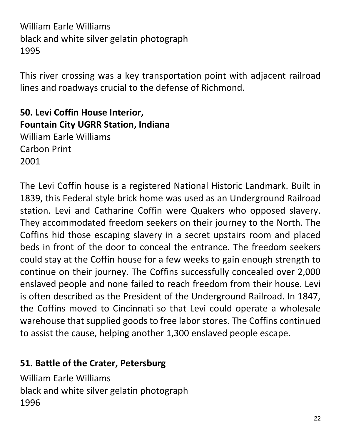William Earle Williams black and white silver gelatin photograph 1995

This river crossing was a key transportation point with adjacent railroad lines and roadways crucial to the defense of Richmond.

**50. Levi Coffin House Interior, Fountain City UGRR Station, Indiana** William Earle Williams Carbon Print 2001

The Levi Coffin house is a registered National Historic Landmark. Built in 1839, this Federal style brick home was used as an Underground Railroad station. Levi and Catharine Coffin were Quakers who opposed slavery. They accommodated freedom seekers on their journey to the North. The Coffins hid those escaping slavery in a secret upstairs room and placed beds in front of the door to conceal the entrance. The freedom seekers could stay at the Coffin house for a few weeks to gain enough strength to continue on their journey. The Coffins successfully concealed over 2,000 enslaved people and none failed to reach freedom from their house. Levi is often described as the President of the Underground Railroad. In 1847, the Coffins moved to Cincinnati so that Levi could operate a wholesale warehouse that supplied goods to free labor stores. The Coffins continued to assist the cause, helping another 1,300 enslaved people escape.

### **51. Battle of the Crater, Petersburg**

William Earle Williams black and white silver gelatin photograph 1996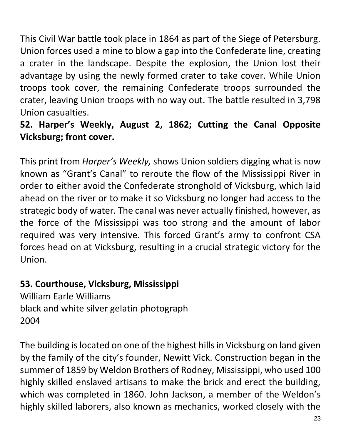This Civil War battle took place in 1864 as part of the Siege of Petersburg. Union forces used a mine to blow a gap into the Confederate line, creating a crater in the landscape. Despite the explosion, the Union lost their advantage by using the newly formed crater to take cover. While Union troops took cover, the remaining Confederate troops surrounded the crater, leaving Union troops with no way out. The battle resulted in 3,798 Union casualties.

# **52. Harper's Weekly, August 2, 1862; Cutting the Canal Opposite Vicksburg; front cover.**

This print from *Harper's Weekly,* shows Union soldiers digging what is now known as "Grant's Canal" to reroute the flow of the Mississippi River in order to either avoid the Confederate stronghold of Vicksburg, which laid ahead on the river or to make it so Vicksburg no longer had access to the strategic body of water. The canal was never actually finished, however, as the force of the Mississippi was too strong and the amount of labor required was very intensive. This forced Grant's army to confront CSA forces head on at Vicksburg, resulting in a crucial strategic victory for the Union.

# **53. Courthouse, Vicksburg, Mississippi**

William Earle Williams black and white silver gelatin photograph 2004

The building is located on one of the highest hills in Vicksburg on land given by the family of the city's founder, Newitt Vick. Construction began in the summer of 1859 by Weldon Brothers of Rodney, Mississippi, who used 100 highly skilled enslaved artisans to make the brick and erect the building, which was completed in 1860. John Jackson, a member of the Weldon's highly skilled laborers, also known as mechanics, worked closely with the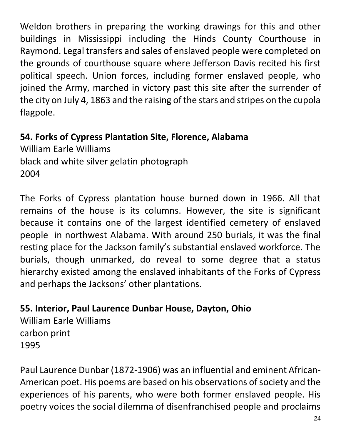Weldon brothers in preparing the working drawings for this and other buildings in Mississippi including the Hinds County Courthouse in Raymond. Legal transfers and sales of enslaved people were completed on the grounds of courthouse square where Jefferson Davis recited his first political speech. Union forces, including former enslaved people, who joined the Army, marched in victory past this site after the surrender of the city on July 4, 1863 and the raising of the stars and stripes on the cupola flagpole.

### **54. Forks of Cypress Plantation Site, Florence, Alabama**

William Earle Williams black and white silver gelatin photograph 2004

The Forks of Cypress plantation house burned down in 1966. All that remains of the house is its columns. However, the site is significant because it contains one of the largest identified cemetery of enslaved people in northwest Alabama. With around 250 burials, it was the final resting place for the Jackson family's substantial enslaved workforce. The burials, though unmarked, do reveal to some degree that a status hierarchy existed among the enslaved inhabitants of the Forks of Cypress and perhaps the Jacksons' other plantations.

**55. Interior, Paul Laurence Dunbar House, Dayton, Ohio**

William Earle Williams carbon print 1995

Paul Laurence Dunbar (1872-1906) was an influential and eminent African-American poet. His poems are based on his observations of society and the experiences of his parents, who were both former enslaved people. His poetry voices the social dilemma of disenfranchised people and proclaims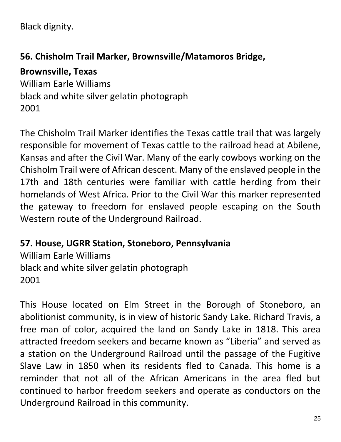Black dignity.

### **56. Chisholm Trail Marker, Brownsville/Matamoros Bridge,**

### **Brownsville, Texas**

William Earle Williams black and white silver gelatin photograph 2001

The Chisholm Trail Marker identifies the Texas cattle trail that was largely responsible for movement of Texas cattle to the railroad head at Abilene, Kansas and after the Civil War. Many of the early cowboys working on the Chisholm Trail were of African descent. Many of the enslaved people in the 17th and 18th centuries were familiar with cattle herding from their homelands of West Africa. Prior to the Civil War this marker represented the gateway to freedom for enslaved people escaping on the South Western route of the Underground Railroad.

**57. House, UGRR Station, Stoneboro, Pennsylvania**

William Earle Williams black and white silver gelatin photograph 2001

This House located on Elm Street in the Borough of Stoneboro, an abolitionist community, is in view of historic Sandy Lake. Richard Travis, a free man of color, acquired the land on Sandy Lake in 1818. This area attracted freedom seekers and became known as "Liberia" and served as a station on the Underground Railroad until the passage of the Fugitive Slave Law in 1850 when its residents fled to Canada. This home is a reminder that not all of the African Americans in the area fled but continued to harbor freedom seekers and operate as conductors on the Underground Railroad in this community.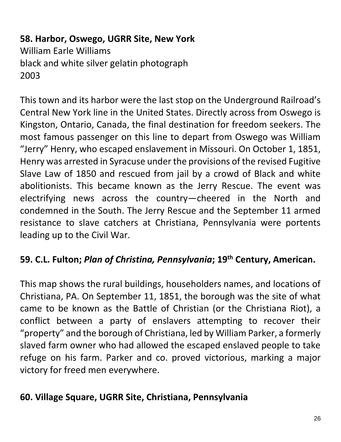**58. Harbor, Oswego, UGRR Site, New York** William Earle Williams black and white silver gelatin photograph 2003

This town and its harbor were the last stop on the Underground Railroad's Central New York line in the United States. Directly across from Oswego is Kingston, Ontario, Canada, the final destination for freedom seekers. The most famous passenger on this line to depart from Oswego was William "Jerry" Henry, who escaped enslavement in Missouri. On October 1, 1851, Henry was arrested in Syracuse under the provisions of the revised Fugitive Slave Law of 1850 and rescued from jail by a crowd of Black and white abolitionists. This became known as the Jerry Rescue. The event was electrifying news across the country—cheered in the North and condemned in the South. The Jerry Rescue and the September 11 armed resistance to slave catchers at Christiana, Pennsylvania were portents leading up to the Civil War.

### **59. C.L. Fulton;** *Plan of Christina, Pennsylvania***; 19th Century, American.**

This map shows the rural buildings, householders names, and locations of Christiana, PA. On September 11, 1851, the borough was the site of what came to be known as the Battle of Christian (or the Christiana Riot), a conflict between a party of enslavers attempting to recover their "property" and the borough of Christiana, led by William Parker, a formerly slaved farm owner who had allowed the escaped enslaved people to take refuge on his farm. Parker and co. proved victorious, marking a major victory for freed men everywhere.

### **60. Village Square, UGRR Site, Christiana, Pennsylvania**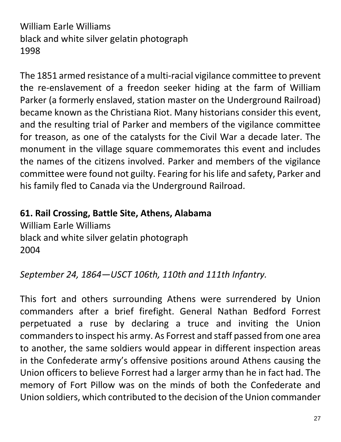William Earle Williams black and white silver gelatin photograph 1998

The 1851 armed resistance of a multi-racial vigilance committee to prevent the re-enslavement of a freedon seeker hiding at the farm of William Parker (a formerly enslaved, station master on the Underground Railroad) became known as the Christiana Riot. Many historians consider this event, and the resulting trial of Parker and members of the vigilance committee for treason, as one of the catalysts for the Civil War a decade later. The monument in the village square commemorates this event and includes the names of the citizens involved. Parker and members of the vigilance committee were found not guilty. Fearing for his life and safety, Parker and his family fled to Canada via the Underground Railroad.

#### **61. Rail Crossing, Battle Site, Athens, Alabama**

William Earle Williams black and white silver gelatin photograph 2004

*September 24, 1864—USCT 106th, 110th and 111th Infantry.* 

This fort and others surrounding Athens were surrendered by Union commanders after a brief firefight. General Nathan Bedford Forrest perpetuated a ruse by declaring a truce and inviting the Union commanders to inspect his army. As Forrest and staff passed from one area to another, the same soldiers would appear in different inspection areas in the Confederate army's offensive positions around Athens causing the Union officers to believe Forrest had a larger army than he in fact had. The memory of Fort Pillow was on the minds of both the Confederate and Union soldiers, which contributed to the decision of the Union commander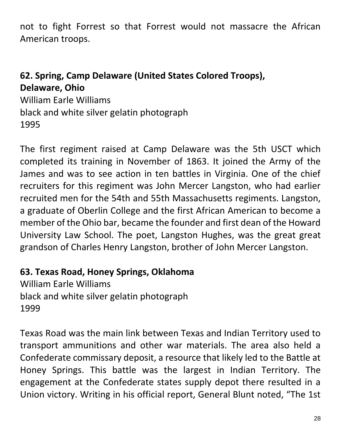not to fight Forrest so that Forrest would not massacre the African American troops.

### **62. Spring, Camp Delaware (United States Colored Troops), Delaware, Ohio**

William Earle Williams black and white silver gelatin photograph 1995

The first regiment raised at Camp Delaware was the 5th USCT which completed its training in November of 1863. It joined the Army of the James and was to see action in ten battles in Virginia. One of the chief recruiters for this regiment was John Mercer Langston, who had earlier recruited men for the 54th and 55th Massachusetts regiments. Langston, a graduate of Oberlin College and the first African American to become a member of the Ohio bar, became the founder and first dean of the Howard University Law School. The poet, Langston Hughes, was the great great grandson of Charles Henry Langston, brother of John Mercer Langston.

#### **63. Texas Road, Honey Springs, Oklahoma**

William Earle Williams black and white silver gelatin photograph 1999

Texas Road was the main link between Texas and Indian Territory used to transport ammunitions and other war materials. The area also held a Confederate commissary deposit, a resource that likely led to the Battle at Honey Springs. This battle was the largest in Indian Territory. The engagement at the Confederate states supply depot there resulted in a Union victory. Writing in his official report, General Blunt noted, "The 1st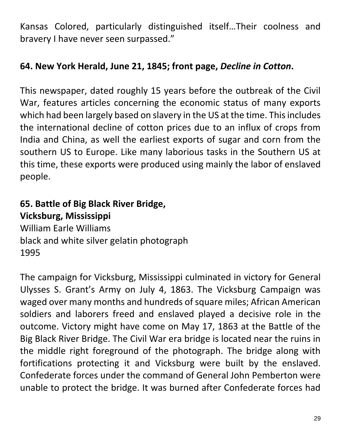Kansas Colored, particularly distinguished itself…Their coolness and bravery I have never seen surpassed."

### **64. New York Herald, June 21, 1845; front page,** *Decline in Cotton***.**

This newspaper, dated roughly 15 years before the outbreak of the Civil War, features articles concerning the economic status of many exports which had been largely based on slavery in the US at the time. This includes the international decline of cotton prices due to an influx of crops from India and China, as well the earliest exports of sugar and corn from the southern US to Europe. Like many laborious tasks in the Southern US at this time, these exports were produced using mainly the labor of enslaved people.

# **65. Battle of Big Black River Bridge, Vicksburg, Mississippi** William Earle Williams black and white silver gelatin photograph 1995

The campaign for Vicksburg, Mississippi culminated in victory for General Ulysses S. Grant's Army on July 4, 1863. The Vicksburg Campaign was waged over many months and hundreds of square miles; African American soldiers and laborers freed and enslaved played a decisive role in the outcome. Victory might have come on May 17, 1863 at the Battle of the Big Black River Bridge. The Civil War era bridge is located near the ruins in the middle right foreground of the photograph. The bridge along with fortifications protecting it and Vicksburg were built by the enslaved. Confederate forces under the command of General John Pemberton were unable to protect the bridge. It was burned after Confederate forces had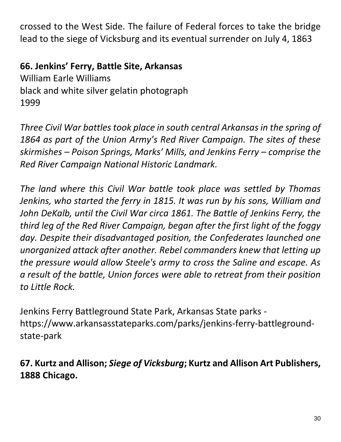crossed to the West Side. The failure of Federal forces to take the bridge lead to the siege of Vicksburg and its eventual surrender on July 4, 1863

### **66. Jenkins' Ferry, Battle Site, Arkansas**

William Earle Williams black and white silver gelatin photograph 1999

*Three Civil War battles took place in south central Arkansas in the spring of 1864 as part of the Union Army's Red River Campaign. The sites of these skirmishes – Poison Springs, Marks' Mills, and Jenkins Ferry – comprise the Red River Campaign National Historic Landmark.* 

*The land where this Civil War battle took place was settled by Thomas Jenkins, who started the ferry in 1815. It was run by his sons, William and*  John DeKalb, until the Civil War circa 1861. The Battle of Jenkins Ferry, the *third leg of the Red River Campaign, began after the first light of the foggy day. Despite their disadvantaged position, the Confederates launched one unorganized attack after another. Rebel commanders knew that letting up the pressure would allow Steele's army to cross the Saline and escape. As a result of the battle, Union forces were able to retreat from their position to Little Rock.*

Jenkins Ferry Battleground State Park, Arkansas State parks https://www.arkansasstateparks.com/parks/jenkins-ferry-battlegroundstate-park

## **67. Kurtz and Allison;** *Siege of Vicksburg***; Kurtz and Allison Art Publishers, 1888 Chicago.**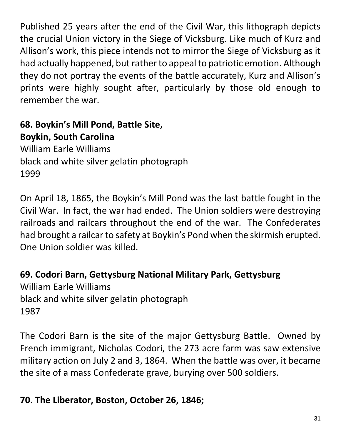Published 25 years after the end of the Civil War, this lithograph depicts the crucial Union victory in the Siege of Vicksburg. Like much of Kurz and Allison's work, this piece intends not to mirror the Siege of Vicksburg as it had actually happened, but rather to appeal to patriotic emotion. Although they do not portray the events of the battle accurately, Kurz and Allison's prints were highly sought after, particularly by those old enough to remember the war.

**68. Boykin's Mill Pond, Battle Site, Boykin, South Carolina** William Earle Williams black and white silver gelatin photograph 1999

On April 18, 1865, the Boykin's Mill Pond was the last battle fought in the Civil War. In fact, the war had ended. The Union soldiers were destroying railroads and railcars throughout the end of the war. The Confederates had brought a railcar to safety at Boykin's Pond when the skirmish erupted. One Union soldier was killed.

**69. Codori Barn, Gettysburg National Military Park, Gettysburg** William Earle Williams black and white silver gelatin photograph 1987

The Codori Barn is the site of the major Gettysburg Battle. Owned by French immigrant, Nicholas Codori, the 273 acre farm was saw extensive military action on July 2 and 3, 1864. When the battle was over, it became the site of a mass Confederate grave, burying over 500 soldiers.

## **70. The Liberator, Boston, October 26, 1846;**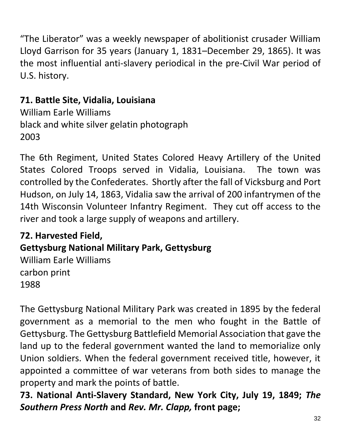"The Liberator" was a weekly newspaper of abolitionist crusader William Lloyd Garrison for 35 years (January 1, 1831–December 29, 1865). It was the most influential anti-slavery periodical in the pre-Civil War period of U.S. history.

# **71. Battle Site, Vidalia, Louisiana**

William Earle Williams black and white silver gelatin photograph 2003

The 6th Regiment, United States Colored Heavy Artillery of the United States Colored Troops served in Vidalia, Louisiana. The town was controlled by the Confederates. Shortly after the fall of Vicksburg and Port Hudson, on July 14, 1863, Vidalia saw the arrival of 200 infantrymen of the 14th Wisconsin Volunteer Infantry Regiment. They cut off access to the river and took a large supply of weapons and artillery.

# **72. Harvested Field, Gettysburg National Military Park, Gettysburg** William Earle Williams carbon print 1988

The Gettysburg National Military Park was created in 1895 by the federal government as a memorial to the men who fought in the Battle of Gettysburg. The Gettysburg Battlefield Memorial Association that gave the land up to the federal government wanted the land to memorialize only Union soldiers. When the federal government received title, however, it appointed a committee of war veterans from both sides to manage the property and mark the points of battle.

**73. National Anti-Slavery Standard, New York City, July 19, 1849;** *The Southern Press North* **and** *Rev. Mr. Clapp,* **front page;**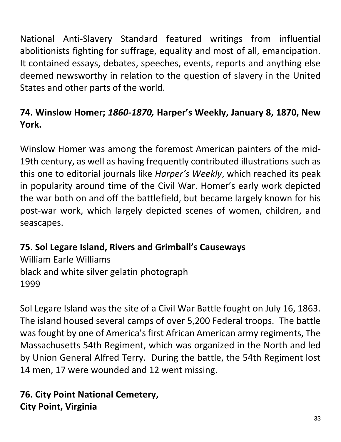National Anti-Slavery Standard featured writings from influential abolitionists fighting for suffrage, equality and most of all, emancipation. It contained essays, debates, speeches, events, reports and anything else deemed newsworthy in relation to the question of slavery in the United States and other parts of the world.

# **74. Winslow Homer;** *1860-1870,* **Harper's Weekly, January 8, 1870, New York.**

Winslow Homer was among the foremost American painters of the mid-19th century, as well as having frequently contributed illustrations such as this one to editorial journals like *Harper's Weekly*, which reached its peak in popularity around time of the Civil War. Homer's early work depicted the war both on and off the battlefield, but became largely known for his post-war work, which largely depicted scenes of women, children, and seascapes.

**75. Sol Legare Island, Rivers and Grimball's Causeways** William Earle Williams black and white silver gelatin photograph 1999

Sol Legare Island was the site of a Civil War Battle fought on July 16, 1863. The island housed several camps of over 5,200 Federal troops. The battle was fought by one of America's first African American army regiments, The Massachusetts 54th Regiment, which was organized in the North and led by Union General Alfred Terry. During the battle, the 54th Regiment lost 14 men, 17 were wounded and 12 went missing.

## **76. City Point National Cemetery, City Point, Virginia**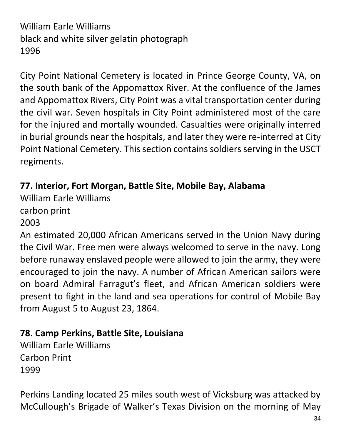# William Earle Williams black and white silver gelatin photograph 1996

City Point National Cemetery is located in Prince George County, VA, on the south bank of the Appomattox River. At the confluence of the James and Appomattox Rivers, City Point was a vital transportation center during the civil war. Seven hospitals in City Point administered most of the care for the injured and mortally wounded. Casualties were originally interred in burial grounds near the hospitals, and later they were re-interred at City Point National Cemetery. This section contains soldiers serving in the USCT regiments.

## **77. Interior, Fort Morgan, Battle Site, Mobile Bay, Alabama**

William Earle Williams

carbon print

2003

An estimated 20,000 African Americans served in the Union Navy during the Civil War. Free men were always welcomed to serve in the navy. Long before runaway enslaved people were allowed to join the army, they were encouraged to join the navy. A number of African American sailors were on board Admiral Farragut's fleet, and African American soldiers were present to fight in the land and sea operations for control of Mobile Bay from August 5 to August 23, 1864.

## **78. Camp Perkins, Battle Site, Louisiana**

William Earle Williams Carbon Print 1999

Perkins Landing located 25 miles south west of Vicksburg was attacked by McCullough's Brigade of Walker's Texas Division on the morning of May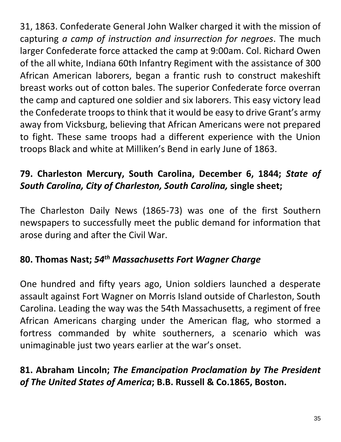31, 1863. Confederate General John Walker charged it with the mission of capturing *a camp of instruction and insurrection for negroes*. The much larger Confederate force attacked the camp at 9:00am. Col. Richard Owen of the all white, Indiana 60th Infantry Regiment with the assistance of 300 African American laborers, began a frantic rush to construct makeshift breast works out of cotton bales. The superior Confederate force overran the camp and captured one soldier and six laborers. This easy victory lead the Confederate troops to think that it would be easy to drive Grant's army away from Vicksburg, believing that African Americans were not prepared to fight. These same troops had a different experience with the Union troops Black and white at Milliken's Bend in early June of 1863.

# **79. Charleston Mercury, South Carolina, December 6, 1844;** *State of South Carolina, City of Charleston, South Carolina,* **single sheet;**

The Charleston Daily News (1865-73) was one of the first Southern newspapers to successfully meet the public demand for information that arose during and after the Civil War.

# **80. Thomas Nast;** *54th Massachusetts Fort Wagner Charge*

One hundred and fifty years ago, Union soldiers launched a desperate assault against Fort Wagner on Morris Island outside of Charleston, South Carolina. Leading the way was the 54th Massachusetts, a regiment of free African Americans charging under the American flag, who stormed a fortress commanded by white southerners, a scenario which was unimaginable just two years earlier at the war's onset.

# **81. Abraham Lincoln;** *The Emancipation Proclamation by The President of The United States of America***; B.B. Russell & Co.1865, Boston.**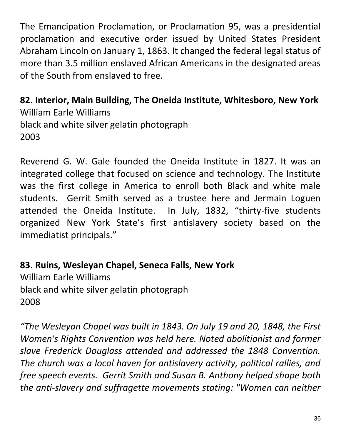The Emancipation Proclamation, or Proclamation 95, was a presidential proclamation and executive order issued by United States President Abraham Lincoln on January 1, 1863. It changed the federal legal status of more than 3.5 million enslaved African Americans in the designated areas of the South from enslaved to free.

**82. Interior, Main Building, The Oneida Institute, Whitesboro, New York** William Earle Williams black and white silver gelatin photograph 2003

Reverend G. W. Gale founded the Oneida Institute in 1827. It was an integrated college that focused on science and technology. The Institute was the first college in America to enroll both Black and white male students. Gerrit Smith served as a trustee here and Jermain Loguen attended the Oneida Institute. In July, 1832, "thirty-five students organized New York State's first antislavery society based on the immediatist principals."

**83. Ruins, Wesleyan Chapel, Seneca Falls, New York**  William Earle Williams black and white silver gelatin photograph 2008

*"The Wesleyan Chapel was built in 1843. On July 19 and 20, 1848, the First Women's Rights Convention was held here. Noted abolitionist and former slave Frederick Douglass attended and addressed the 1848 Convention. The church was a local haven for antislavery activity, political rallies, and free speech events. Gerrit Smith and Susan B. Anthony helped shape both the anti-slavery and suffragette movements stating: "Women can neither*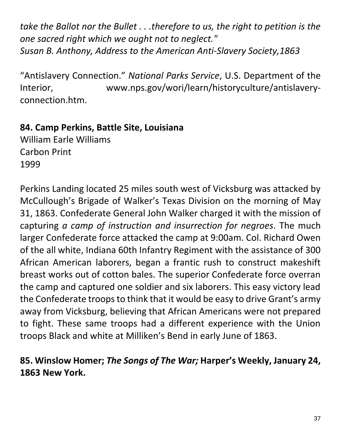*take the Ballot nor the Bullet . . .therefore to us, the right to petition is the one sacred right which we ought not to neglect." Susan B. Anthony, Address to the American Anti-Slavery Society,1863* 

"Antislavery Connection." *National Parks Service*, U.S. Department of the Interior, www.nps.gov/wori/learn/historyculture/antislaveryconnection.htm.

## **84. Camp Perkins, Battle Site, Louisiana**

William Earle Williams Carbon Print 1999

Perkins Landing located 25 miles south west of Vicksburg was attacked by McCullough's Brigade of Walker's Texas Division on the morning of May 31, 1863. Confederate General John Walker charged it with the mission of capturing *a camp of instruction and insurrection for negroes*. The much larger Confederate force attacked the camp at 9:00am. Col. Richard Owen of the all white, Indiana 60th Infantry Regiment with the assistance of 300 African American laborers, began a frantic rush to construct makeshift breast works out of cotton bales. The superior Confederate force overran the camp and captured one soldier and six laborers. This easy victory lead the Confederate troops to think that it would be easy to drive Grant's army away from Vicksburg, believing that African Americans were not prepared to fight. These same troops had a different experience with the Union troops Black and white at Milliken's Bend in early June of 1863.

# **85. Winslow Homer;** *The Songs of The War;* **Harper's Weekly, January 24, 1863 New York.**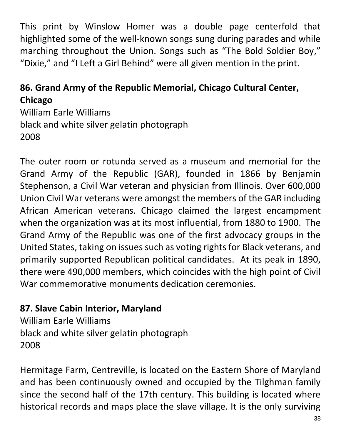This print by Winslow Homer was a double page centerfold that highlighted some of the well-known songs sung during parades and while marching throughout the Union. Songs such as "The Bold Soldier Boy," "Dixie," and "I Left a Girl Behind" were all given mention in the print.

## **86. Grand Army of the Republic Memorial, Chicago Cultural Center, Chicago**

William Earle Williams black and white silver gelatin photograph 2008

The outer room or rotunda served as a museum and memorial for the Grand Army of the Republic (GAR), founded in 1866 by Benjamin Stephenson, a Civil War veteran and physician from Illinois. Over 600,000 Union Civil War veterans were amongst the members of the GAR including African American veterans. Chicago claimed the largest encampment when the organization was at its most influential, from 1880 to 1900. The Grand Army of the Republic was one of the first advocacy groups in the United States, taking on issues such as voting rights for Black veterans, and primarily supported Republican political candidates. At its peak in 1890, there were 490,000 members, which coincides with the high point of Civil War commemorative monuments dedication ceremonies.

### **87. Slave Cabin Interior, Maryland**

William Earle Williams black and white silver gelatin photograph 2008

Hermitage Farm, Centreville, is located on the Eastern Shore of Maryland and has been continuously owned and occupied by the Tilghman family since the second half of the 17th century. This building is located where historical records and maps place the slave village. It is the only surviving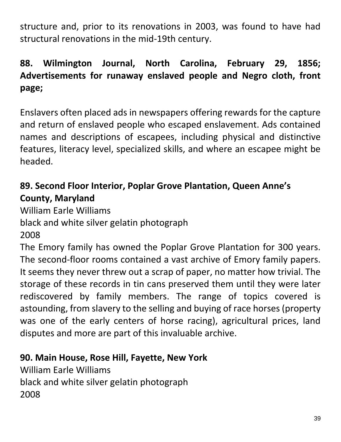structure and, prior to its renovations in 2003, was found to have had structural renovations in the mid-19th century.

# **88. Wilmington Journal, North Carolina, February 29, 1856; Advertisements for runaway enslaved people and Negro cloth, front page;**

Enslavers often placed ads in newspapers offering rewards for the capture and return of enslaved people who escaped enslavement. Ads contained names and descriptions of escapees, including physical and distinctive features, literacy level, specialized skills, and where an escapee might be headed.

# **89. Second Floor Interior, Poplar Grove Plantation, Queen Anne's County, Maryland**

William Earle Williams black and white silver gelatin photograph 2008

The Emory family has owned the Poplar Grove Plantation for 300 years. The second-floor rooms contained a vast archive of Emory family papers. It seems they never threw out a scrap of paper, no matter how trivial. The storage of these records in tin cans preserved them until they were later rediscovered by family members. The range of topics covered is astounding, from slavery to the selling and buying of race horses (property was one of the early centers of horse racing), agricultural prices, land disputes and more are part of this invaluable archive.

# **90. Main House, Rose Hill, Fayette, New York**

William Earle Williams black and white silver gelatin photograph 2008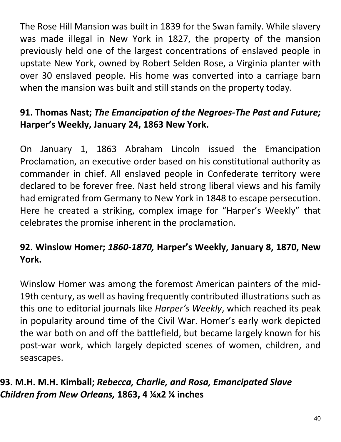The Rose Hill Mansion was built in 1839 for the Swan family. While slavery was made illegal in New York in 1827, the property of the mansion previously held one of the largest concentrations of enslaved people in upstate New York, owned by Robert Selden Rose, a Virginia planter with over 30 enslaved people. His home was converted into a carriage barn when the mansion was built and still stands on the property today.

# **91. Thomas Nast;** *The Emancipation of the Negroes-The Past and Future;* **Harper's Weekly, January 24, 1863 New York.**

On January 1, 1863 Abraham Lincoln issued the Emancipation Proclamation, an executive order based on his constitutional authority as commander in chief. All enslaved people in Confederate territory were declared to be forever free. Nast held strong liberal views and his family had emigrated from Germany to New York in 1848 to escape persecution. Here he created a striking, complex image for "Harper's Weekly" that celebrates the promise inherent in the proclamation.

# **92. Winslow Homer;** *1860-1870,* **Harper's Weekly, January 8, 1870, New York.**

Winslow Homer was among the foremost American painters of the mid-19th century, as well as having frequently contributed illustrations such as this one to editorial journals like *Harper's Weekly*, which reached its peak in popularity around time of the Civil War. Homer's early work depicted the war both on and off the battlefield, but became largely known for his post-war work, which largely depicted scenes of women, children, and seascapes.

## **93. M.H. M.H. Kimball;** *Rebecca, Charlie, and Rosa, Emancipated Slave Children from New Orleans,* **1863, 4 ¼x2 ¼ inches**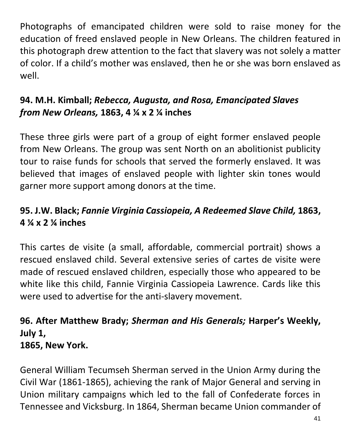Photographs of emancipated children were sold to raise money for the education of freed enslaved people in New Orleans. The children featured in this photograph drew attention to the fact that slavery was not solely a matter of color. If a child's mother was enslaved, then he or she was born enslaved as well.

# **94. M.H. Kimball;** *Rebecca, Augusta, and Rosa, Emancipated Slaves from New Orleans,* **1863, 4 ¼ x 2 ¼ inches**

These three girls were part of a group of eight former enslaved people from New Orleans. The group was sent North on an abolitionist publicity tour to raise funds for schools that served the formerly enslaved. It was believed that images of enslaved people with lighter skin tones would garner more support among donors at the time.

# **95. J.W. Black;** *Fannie Virginia Cassiopeia, A Redeemed Slave Child,* **1863, 4 ¼ x 2 ¼ inches**

This cartes de visite (a small, affordable, commercial portrait) shows a rescued enslaved child. Several extensive series of cartes de visite were made of rescued enslaved children, especially those who appeared to be white like this child, Fannie Virginia Cassiopeia Lawrence. Cards like this were used to advertise for the anti-slavery movement.

### **96. After Matthew Brady;** *Sherman and His Generals;* **Harper's Weekly, July 1, 1865, New York.**

General William Tecumseh Sherman served in the Union Army during the Civil War (1861-1865), achieving the rank of Major General and serving in Union military campaigns which led to the fall of Confederate forces in Tennessee and Vicksburg. In 1864, Sherman became Union commander of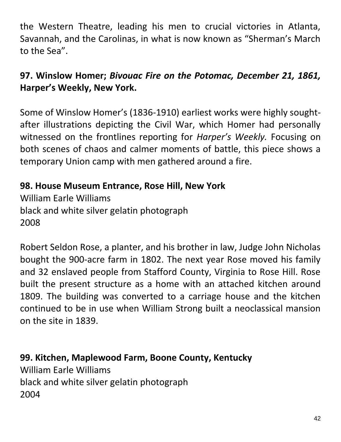the Western Theatre, leading his men to crucial victories in Atlanta, Savannah, and the Carolinas, in what is now known as "Sherman's March to the Sea".

## **97. Winslow Homer;** *Bivouac Fire on the Potomac, December 21, 1861,*  **Harper's Weekly, New York.**

Some of Winslow Homer's (1836-1910) earliest works were highly soughtafter illustrations depicting the Civil War, which Homer had personally witnessed on the frontlines reporting for *Harper's Weekly.* Focusing on both scenes of chaos and calmer moments of battle, this piece shows a temporary Union camp with men gathered around a fire.

**98. House Museum Entrance, Rose Hill, New York** William Earle Williams black and white silver gelatin photograph 2008

Robert Seldon Rose, a planter, and his brother in law, Judge John Nicholas bought the 900-acre farm in 1802. The next year Rose moved his family and 32 enslaved people from Stafford County, Virginia to Rose Hill. Rose built the present structure as a home with an attached kitchen around 1809. The building was converted to a carriage house and the kitchen continued to be in use when William Strong built a neoclassical mansion on the site in 1839.

**99. Kitchen, Maplewood Farm, Boone County, Kentucky** William Earle Williams black and white silver gelatin photograph 2004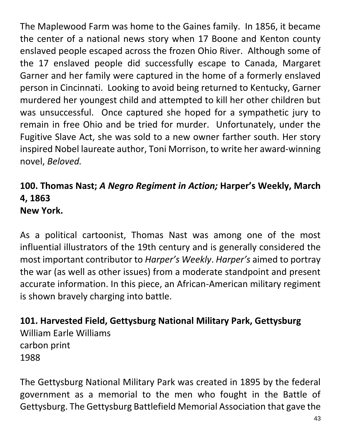The Maplewood Farm was home to the Gaines family. In 1856, it became the center of a national news story when 17 Boone and Kenton county enslaved people escaped across the frozen Ohio River. Although some of the 17 enslaved people did successfully escape to Canada, Margaret Garner and her family were captured in the home of a formerly enslaved person in Cincinnati. Looking to avoid being returned to Kentucky, Garner murdered her youngest child and attempted to kill her other children but was unsuccessful. Once captured she hoped for a sympathetic jury to remain in free Ohio and be tried for murder. Unfortunately, under the Fugitive Slave Act, she was sold to a new owner farther south. Her story inspired Nobel laureate author, Toni Morrison, to write her award-winning novel, *Beloved.*

#### **100. Thomas Nast;** *A Negro Regiment in Action;* **Harper's Weekly, March 4, 1863 New York.**

As a political cartoonist, Thomas Nast was among one of the most influential illustrators of the 19th century and is generally considered the most important contributor to *Harper's Weekly*. *Harper's* aimed to portray the war (as well as other issues) from a moderate standpoint and present accurate information. In this piece, an African-American military regiment is shown bravely charging into battle.

**101. Harvested Field, Gettysburg National Military Park, Gettysburg** William Earle Williams carbon print 1988

The Gettysburg National Military Park was created in 1895 by the federal government as a memorial to the men who fought in the Battle of Gettysburg. The Gettysburg Battlefield Memorial Association that gave the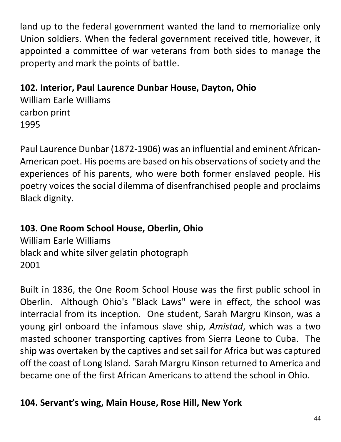land up to the federal government wanted the land to memorialize only Union soldiers. When the federal government received title, however, it appointed a committee of war veterans from both sides to manage the property and mark the points of battle.

**102. Interior, Paul Laurence Dunbar House, Dayton, Ohio**

William Earle Williams carbon print 1995

Paul Laurence Dunbar (1872-1906) was an influential and eminent African-American poet. His poems are based on his observations of society and the experiences of his parents, who were both former enslaved people. His poetry voices the social dilemma of disenfranchised people and proclaims Black dignity.

# **103. One Room School House, Oberlin, Ohio**

William Earle Williams black and white silver gelatin photograph 2001

Built in 1836, the One Room School House was the first public school in Oberlin. Although Ohio's "Black Laws" were in effect, the school was interracial from its inception. One student, Sarah Margru Kinson, was a young girl onboard the infamous slave ship, *Amistad*, which was a two masted schooner transporting captives from Sierra Leone to Cuba. The ship was overtaken by the captives and set sail for Africa but was captured off the coast of Long Island. Sarah Margru Kinson returned to America and became one of the first African Americans to attend the school in Ohio.

# **104. Servant's wing, Main House, Rose Hill, New York**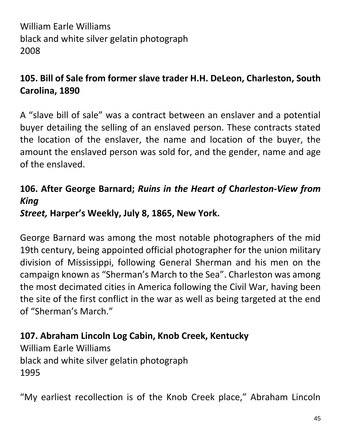William Earle Williams black and white silver gelatin photograph 2008

## **105. Bill of Sale from former slave trader H.H. DeLeon, Charleston, South Carolina, 1890**

A "slave bill of sale" was a contract between an enslaver and a potential buyer detailing the selling of an enslaved person. These contracts stated the location of the enslaver, the name and location of the buyer, the amount the enslaved person was sold for, and the gender, name and age of the enslaved.

# **106. After George Barnard;** *Ruins in the Heart of* **C***harleston***-***View from King*

## *Street,* **Harper's Weekly, July 8, 1865, New York.**

George Barnard was among the most notable photographers of the mid 19th century, being appointed official photographer for the union military division of Mississippi, following General Sherman and his men on the campaign known as "Sherman's March to the Sea". Charleston was among the most decimated cities in America following the Civil War, having been the site of the first conflict in the war as well as being targeted at the end of "Sherman's March."

# **107. Abraham Lincoln Log Cabin, Knob Creek, Kentucky**

William Earle Williams black and white silver gelatin photograph 1995

"My earliest recollection is of the Knob Creek place," Abraham Lincoln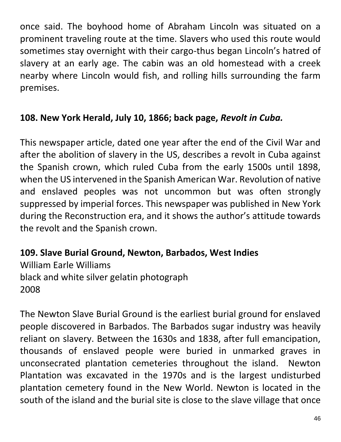once said. The boyhood home of Abraham Lincoln was situated on a prominent traveling route at the time. Slavers who used this route would sometimes stay overnight with their cargo-thus began Lincoln's hatred of slavery at an early age. The cabin was an old homestead with a creek nearby where Lincoln would fish, and rolling hills surrounding the farm premises.

## **108. New York Herald, July 10, 1866; back page,** *Revolt in Cuba.*

This newspaper article, dated one year after the end of the Civil War and after the abolition of slavery in the US, describes a revolt in Cuba against the Spanish crown, which ruled Cuba from the early 1500s until 1898, when the US intervened in the Spanish American War. Revolution of native and enslaved peoples was not uncommon but was often strongly suppressed by imperial forces. This newspaper was published in New York during the Reconstruction era, and it shows the author's attitude towards the revolt and the Spanish crown.

**109. Slave Burial Ground, Newton, Barbados, West Indies** William Earle Williams black and white silver gelatin photograph 2008

The Newton Slave Burial Ground is the earliest burial ground for enslaved people discovered in Barbados. The Barbados sugar industry was heavily reliant on slavery. Between the 1630s and 1838, after full emancipation, thousands of enslaved people were buried in unmarked graves in unconsecrated plantation cemeteries throughout the island. Newton Plantation was excavated in the 1970s and is the largest undisturbed plantation cemetery found in the New World. Newton is located in the south of the island and the burial site is close to the slave village that once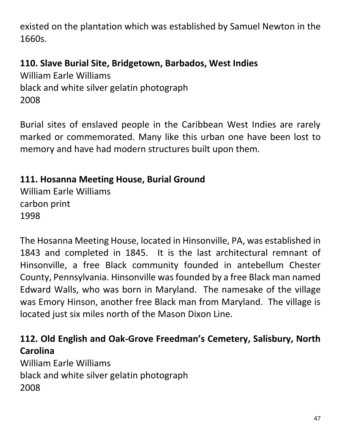existed on the plantation which was established by Samuel Newton in the 1660s.

## **110. Slave Burial Site, Bridgetown, Barbados, West Indies**

William Earle Williams black and white silver gelatin photograph 2008

Burial sites of enslaved people in the Caribbean West Indies are rarely marked or commemorated. Many like this urban one have been lost to memory and have had modern structures built upon them.

## **111. Hosanna Meeting House, Burial Ground**

William Earle Williams carbon print 1998

The Hosanna Meeting House, located in Hinsonville, PA, was established in 1843 and completed in 1845. It is the last architectural remnant of Hinsonville, a free Black community founded in antebellum Chester County, Pennsylvania. Hinsonville was founded by a free Black man named Edward Walls, who was born in Maryland. The namesake of the village was Emory Hinson, another free Black man from Maryland. The village is located just six miles north of the Mason Dixon Line.

## **112. Old English and Oak-Grove Freedman's Cemetery, Salisbury, North Carolina**

William Earle Williams black and white silver gelatin photograph 2008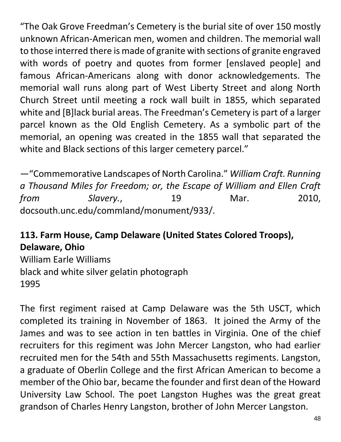"The Oak Grove Freedman's Cemetery is the burial site of over 150 mostly unknown African-American men, women and children. The memorial wall to those interred there is made of granite with sections of granite engraved with words of poetry and quotes from former [enslaved people] and famous African-Americans along with donor acknowledgements. The memorial wall runs along part of West Liberty Street and along North Church Street until meeting a rock wall built in 1855, which separated white and [B]lack burial areas. The Freedman's Cemetery is part of a larger parcel known as the Old English Cemetery. As a symbolic part of the memorial, an opening was created in the 1855 wall that separated the white and Black sections of this larger cemetery parcel."

—"Commemorative Landscapes of North Carolina." *William Craft. Running a Thousand Miles for Freedom; or, the Escape of William and Ellen Craft from Slavery.*, 19 Mar. 2010, docsouth.unc.edu/commland/monument/933/.

# **113. Farm House, Camp Delaware (United States Colored Troops), Delaware, Ohio**

William Earle Williams black and white silver gelatin photograph 1995

The first regiment raised at Camp Delaware was the 5th USCT, which completed its training in November of 1863. It joined the Army of the James and was to see action in ten battles in Virginia. One of the chief recruiters for this regiment was John Mercer Langston, who had earlier recruited men for the 54th and 55th Massachusetts regiments. Langston, a graduate of Oberlin College and the first African American to become a member of the Ohio bar, became the founder and first dean of the Howard University Law School. The poet Langston Hughes was the great great grandson of Charles Henry Langston, brother of John Mercer Langston.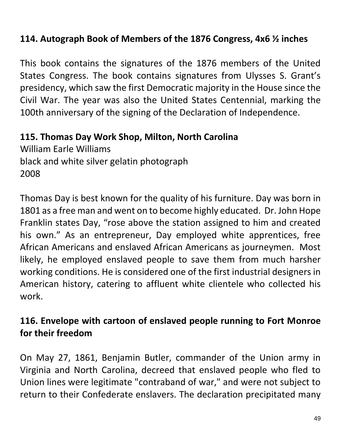### **114. Autograph Book of Members of the 1876 Congress, 4x6 ½ inches**

This book contains the signatures of the 1876 members of the United States Congress. The book contains signatures from Ulysses S. Grant's presidency, which saw the first Democratic majority in the House since the Civil War. The year was also the United States Centennial, marking the 100th anniversary of the signing of the Declaration of Independence.

#### **115. Thomas Day Work Shop, Milton, North Carolina**

William Earle Williams black and white silver gelatin photograph 2008

Thomas Day is best known for the quality of his furniture. Day was born in 1801 as a free man and went on to become highly educated. Dr. John Hope Franklin states Day, "rose above the station assigned to him and created his own." As an entrepreneur, Day employed white apprentices, free African Americans and enslaved African Americans as journeymen. Most likely, he employed enslaved people to save them from much harsher working conditions. He is considered one of the first industrial designers in American history, catering to affluent white clientele who collected his work.

### **116. Envelope with cartoon of enslaved people running to Fort Monroe for their freedom**

On May 27, 1861, Benjamin Butler, commander of the Union army in Virginia and North Carolina, decreed that enslaved people who fled to Union lines were legitimate "contraband of war," and were not subject to return to their Confederate enslavers. The declaration precipitated many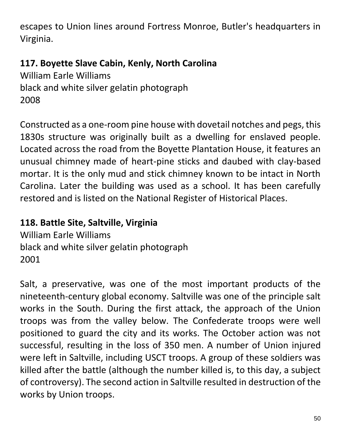escapes to Union lines around Fortress Monroe, Butler's headquarters in Virginia.

## **117. Boyette Slave Cabin, Kenly, North Carolina**

William Earle Williams black and white silver gelatin photograph 2008

Constructed as a one-room pine house with dovetail notches and pegs, this 1830s structure was originally built as a dwelling for enslaved people. Located across the road from the Boyette Plantation House, it features an unusual chimney made of heart-pine sticks and daubed with clay-based mortar. It is the only mud and stick chimney known to be intact in North Carolina. Later the building was used as a school. It has been carefully restored and is listed on the National Register of Historical Places.

## **118. Battle Site, Saltville, Virginia**

William Earle Williams black and white silver gelatin photograph 2001

Salt, a preservative, was one of the most important products of the nineteenth-century global economy. Saltville was one of the principle salt works in the South. During the first attack, the approach of the Union troops was from the valley below. The Confederate troops were well positioned to guard the city and its works. The October action was not successful, resulting in the loss of 350 men. A number of Union injured were left in Saltville, including USCT troops. A group of these soldiers was killed after the battle (although the number killed is, to this day, a subject of controversy). The second action in Saltville resulted in destruction of the works by Union troops.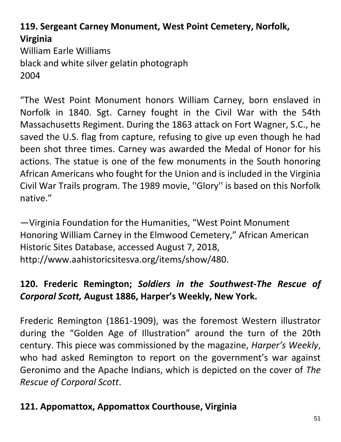# **119. Sergeant Carney Monument, West Point Cemetery, Norfolk, Virginia**

William Earle Williams black and white silver gelatin photograph 2004

"The West Point Monument honors William Carney, born enslaved in Norfolk in 1840. Sgt. Carney fought in the Civil War with the 54th Massachusetts Regiment. During the 1863 attack on Fort Wagner, S.C., he saved the U.S. flag from capture, refusing to give up even though he had been shot three times. Carney was awarded the Medal of Honor for his actions. The statue is one of the few monuments in the South honoring African Americans who fought for the Union and is included in the Virginia Civil War Trails program. The 1989 movie, ''Glory'' is based on this Norfolk native."

—Virginia Foundation for the Humanities, "West Point Monument Honoring William Carney in the Elmwood Cemetery," African American Historic Sites Database, accessed August 7, 2018, http://www.aahistoricsitesva.org/items/show/480.

## **120. Frederic Remington;** *Soldiers in the Southwest-The Rescue of Corporal Scott,* **August 1886, Harper's Weekly, New York.**

Frederic Remington (1861-1909), was the foremost Western illustrator during the "Golden Age of Illustration" around the turn of the 20th century. This piece was commissioned by the magazine, *Harper's Weekly*, who had asked Remington to report on the government's war against Geronimo and the Apache Indians, which is depicted on the cover of *The Rescue of Corporal Scott*.

## **121. Appomattox, Appomattox Courthouse, Virginia**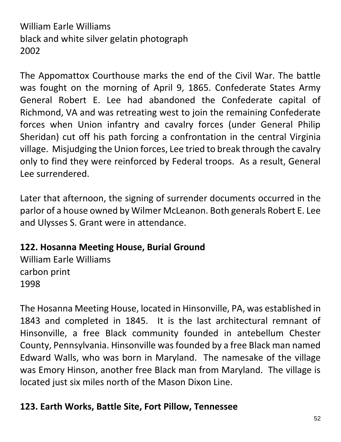# William Earle Williams black and white silver gelatin photograph 2002

The Appomattox Courthouse marks the end of the Civil War. The battle was fought on the morning of April 9, 1865. Confederate States Army General Robert E. Lee had abandoned the Confederate capital of Richmond, VA and was retreating west to join the remaining Confederate forces when Union infantry and cavalry forces (under General Philip Sheridan) cut off his path forcing a confrontation in the central Virginia village. Misjudging the Union forces, Lee tried to break through the cavalry only to find they were reinforced by Federal troops. As a result, General Lee surrendered.

Later that afternoon, the signing of surrender documents occurred in the parlor of a house owned by Wilmer McLeanon. Both generals Robert E. Lee and Ulysses S. Grant were in attendance.

### **122. Hosanna Meeting House, Burial Ground**

William Earle Williams carbon print 1998

The Hosanna Meeting House, located in Hinsonville, PA, was established in 1843 and completed in 1845. It is the last architectural remnant of Hinsonville, a free Black community founded in antebellum Chester County, Pennsylvania. Hinsonville was founded by a free Black man named Edward Walls, who was born in Maryland. The namesake of the village was Emory Hinson, another free Black man from Maryland. The village is located just six miles north of the Mason Dixon Line.

### **123. Earth Works, Battle Site, Fort Pillow, Tennessee**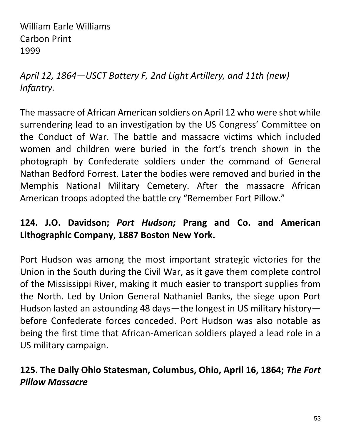William Earle Williams Carbon Print 1999

*April 12, 1864—USCT Battery F, 2nd Light Artillery, and 11th (new) Infantry.* 

The massacre of African American soldiers on April 12 who were shot while surrendering lead to an investigation by the US Congress' Committee on the Conduct of War. The battle and massacre victims which included women and children were buried in the fort's trench shown in the photograph by Confederate soldiers under the command of General Nathan Bedford Forrest. Later the bodies were removed and buried in the Memphis National Military Cemetery. After the massacre African American troops adopted the battle cry "Remember Fort Pillow."

## **124. J.O. Davidson;** *Port Hudson;* **Prang and Co. and American Lithographic Company, 1887 Boston New York.**

Port Hudson was among the most important strategic victories for the Union in the South during the Civil War, as it gave them complete control of the Mississippi River, making it much easier to transport supplies from the North. Led by Union General Nathaniel Banks, the siege upon Port Hudson lasted an astounding 48 days—the longest in US military history before Confederate forces conceded. Port Hudson was also notable as being the first time that African-American soldiers played a lead role in a US military campaign.

# **125. The Daily Ohio Statesman, Columbus, Ohio, April 16, 1864;** *The Fort Pillow Massacre*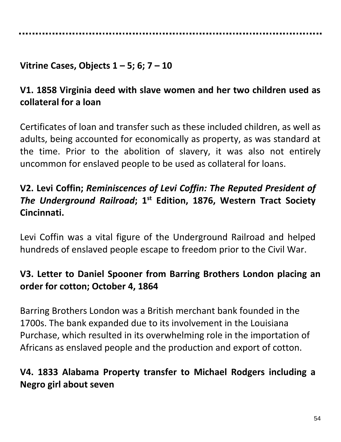### **Vitrine Cases, Objects 1 – 5; 6; 7 – 10**

## **V1. 1858 Virginia deed with slave women and her two children used as collateral for a loan**

Certificates of loan and transfer such as these included children, as well as adults, being accounted for economically as property, as was standard at the time. Prior to the abolition of slavery, it was also not entirely uncommon for enslaved people to be used as collateral for loans.

# **V2. Levi Coffin;** *Reminiscences of Levi Coffin: The Reputed President of The Underground Railroad***; 1st Edition, 1876, Western Tract Society Cincinnati.**

Levi Coffin was a vital figure of the Underground Railroad and helped hundreds of enslaved people escape to freedom prior to the Civil War.

## **V3. Letter to Daniel Spooner from Barring Brothers London placing an order for cotton; October 4, 1864**

Barring Brothers London was a British merchant bank founded in the 1700s. The bank expanded due to its involvement in the Louisiana Purchase, which resulted in its overwhelming role in the importation of Africans as enslaved people and the production and export of cotton.

# **V4. 1833 Alabama Property transfer to Michael Rodgers including a Negro girl about seven**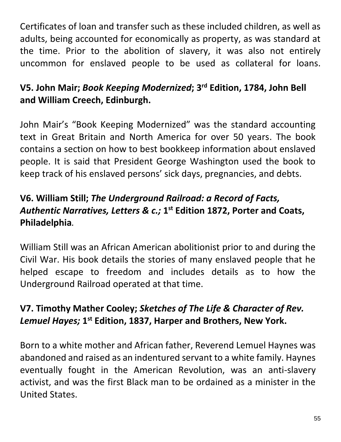Certificates of loan and transfer such as these included children, as well as adults, being accounted for economically as property, as was standard at the time. Prior to the abolition of slavery, it was also not entirely uncommon for enslaved people to be used as collateral for loans.

# **V5. John Mair;** *Book Keeping Modernized***; 3rd Edition, 1784, John Bell and William Creech, Edinburgh.**

John Mair's "Book Keeping Modernized" was the standard accounting text in Great Britain and North America for over 50 years. The book contains a section on how to best bookkeep information about enslaved people. It is said that President George Washington used the book to keep track of his enslaved persons' sick days, pregnancies, and debts.

# **V6. William Still;** *The Underground Railroad: a Record of Facts, Authentic Narratives, Letters & c.;* **1 st Edition 1872, Porter and Coats, Philadelphia***.*

William Still was an African American abolitionist prior to and during the Civil War. His book details the stories of many enslaved people that he helped escape to freedom and includes details as to how the Underground Railroad operated at that time.

# **V7. Timothy Mather Cooley;** *Sketches of The Life & Character of Rev.*  Lemuel Hayes; 1<sup>st</sup> Edition, 1837, Harper and Brothers, New York.

Born to a white mother and African father, Reverend Lemuel Haynes was abandoned and raised as an indentured servant to a white family. Haynes eventually fought in the American Revolution, was an anti-slavery activist, and was the first Black man to be ordained as a minister in the United States.